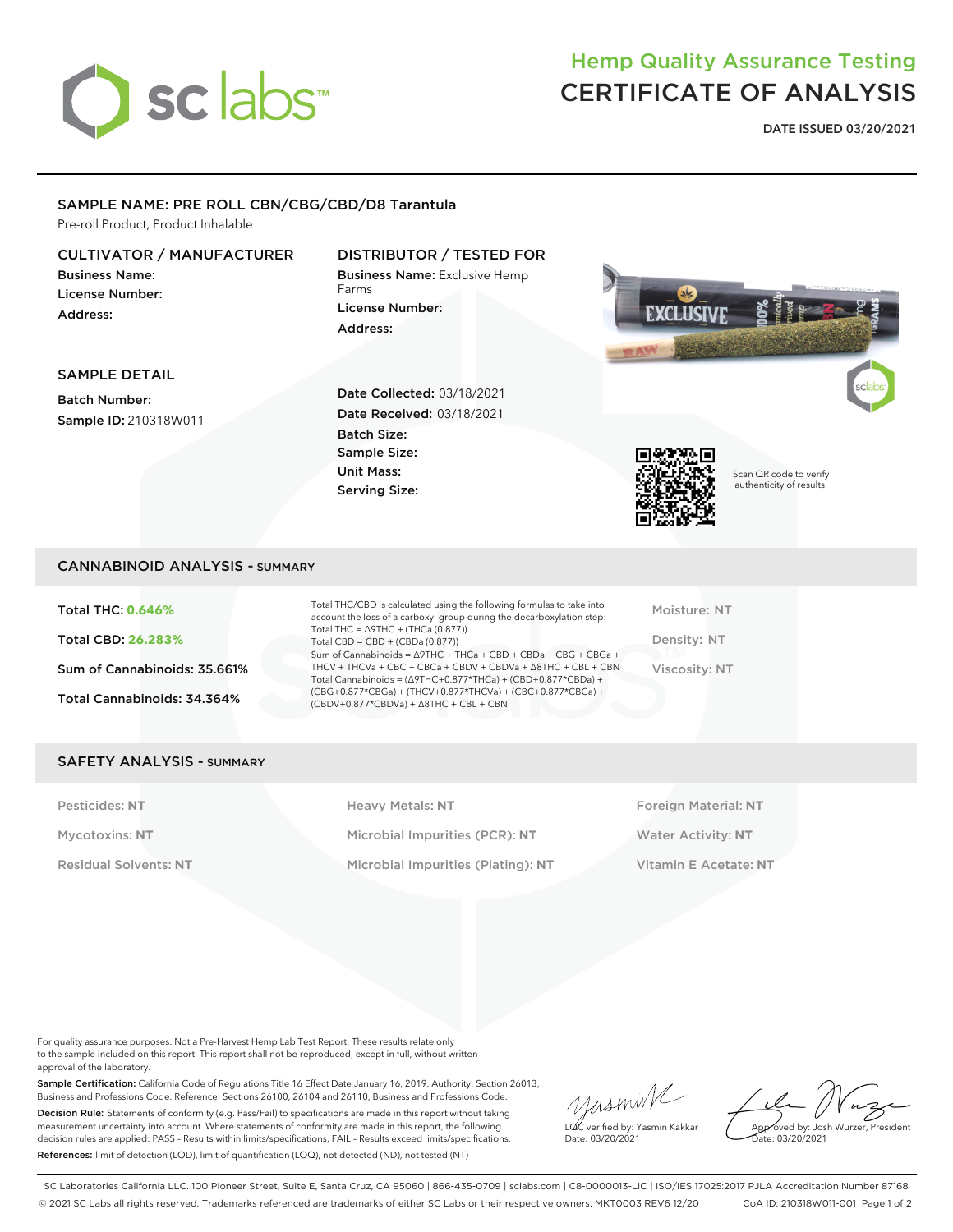

# Hemp Quality Assurance Testing CERTIFICATE OF ANALYSIS

**DATE ISSUED 03/20/2021**

### SAMPLE NAME: PRE ROLL CBN/CBG/CBD/D8 Tarantula

Pre-roll Product, Product Inhalable

### CULTIVATOR / MANUFACTURER

Business Name: License Number: Address:

## DISTRIBUTOR / TESTED FOR

Business Name: Exclusive Hemp Farms License Number: Address:



### SAMPLE DETAIL

Batch Number: Sample ID: 210318W011 Date Collected: 03/18/2021 Date Received: 03/18/2021 Batch Size: Sample Size: Unit Mass: Serving Size:



Scan QR code to verify authenticity of results.

### CANNABINOID ANALYSIS - SUMMARY

Total THC: **0.646%** Total CBD: **26.283%** Sum of Cannabinoids: 35.661% Total Cannabinoids: 34.364%

Total THC/CBD is calculated using the following formulas to take into account the loss of a carboxyl group during the decarboxylation step: Total THC = ∆9THC + (THCa (0.877)) Total CBD = CBD + (CBDa (0.877)) Sum of Cannabinoids = ∆9THC + THCa + CBD + CBDa + CBG + CBGa + THCV + THCVa + CBC + CBCa + CBDV + CBDVa + ∆8THC + CBL + CBN Total Cannabinoids = (∆9THC+0.877\*THCa) + (CBD+0.877\*CBDa) + (CBG+0.877\*CBGa) + (THCV+0.877\*THCVa) + (CBC+0.877\*CBCa) + (CBDV+0.877\*CBDVa) + ∆8THC + CBL + CBN

Moisture: NT Density: NT Viscosity: NT

### SAFETY ANALYSIS - SUMMARY

Pesticides: NT **All Accords** Heavy Metals: NT **Foreign Material: NT** Pesticides: NT Mycotoxins: **NT** Microbial Impurities (PCR): **NT** Water Activity: **NT** Residual Solvents: **NT** Microbial Impurities (Plating): **NT** Vitamin E Acetate: **NT**

For quality assurance purposes. Not a Pre-Harvest Hemp Lab Test Report. These results relate only to the sample included on this report. This report shall not be reproduced, except in full, without written approval of the laboratory.

Sample Certification: California Code of Regulations Title 16 Effect Date January 16, 2019. Authority: Section 26013, Business and Professions Code. Reference: Sections 26100, 26104 and 26110, Business and Professions Code. Decision Rule: Statements of conformity (e.g. Pass/Fail) to specifications are made in this report without taking measurement uncertainty into account. Where statements of conformity are made in this report, the following decision rules are applied: PASS – Results within limits/specifications, FAIL – Results exceed limits/specifications. References: limit of detection (LOD), limit of quantification (LOQ), not detected (ND), not tested (NT)

yasmin LQC verified by: Yasmin Kakkar

Approved by: Josh Wurzer, President ate: 03/20/2021

Date: 03/20/2021

SC Laboratories California LLC. 100 Pioneer Street, Suite E, Santa Cruz, CA 95060 | 866-435-0709 | sclabs.com | C8-0000013-LIC | ISO/IES 17025:2017 PJLA Accreditation Number 87168 © 2021 SC Labs all rights reserved. Trademarks referenced are trademarks of either SC Labs or their respective owners. MKT0003 REV6 12/20 CoA ID: 210318W011-001 Page 1 of 2